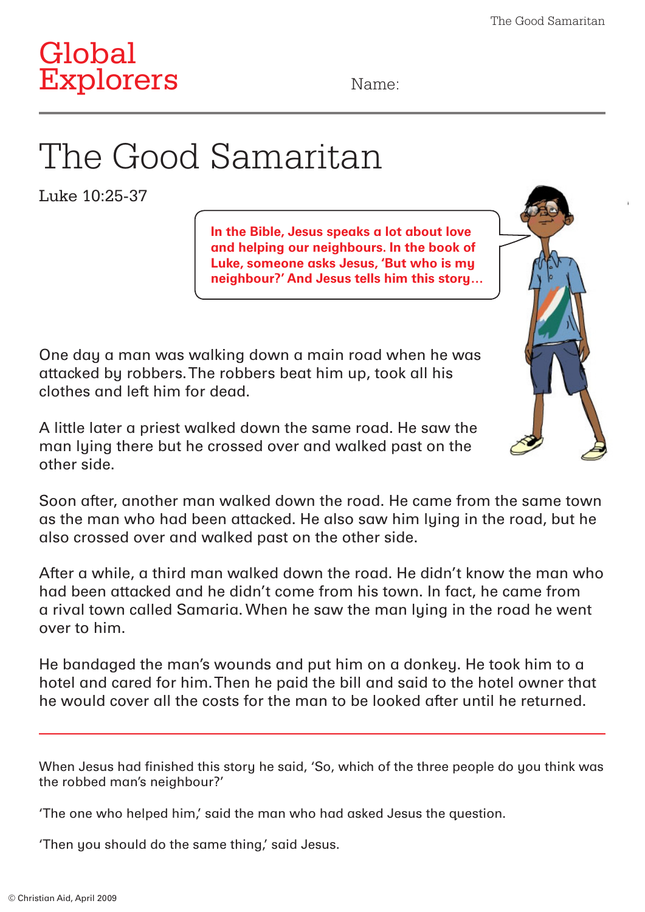

## The Good Samaritan

Luke 10:25-37

**In the Bible, Jesus speaks a lot about love and helping our neighbours. In the book of Luke, someone asks Jesus, 'But who is my neighbour?' And Jesus tells him this story…**



One day a man was walking down a main road when he was attacked by robbers. The robbers beat him up, took all his clothes and left him for dead.

A little later a priest walked down the same road. He saw the man lying there but he crossed over and walked past on the other side.

Soon after, another man walked down the road. He came from the same town as the man who had been attacked. He also saw him lying in the road, but he also crossed over and walked past on the other side.

After a while, a third man walked down the road. He didn't know the man who had been attacked and he didn't come from his town. In fact, he came from a rival town called Samaria. When he saw the man lying in the road he went over to him.

He bandaged the man's wounds and put him on a donkey. He took him to a hotel and cared for him. Then he paid the bill and said to the hotel owner that he would cover all the costs for the man to be looked after until he returned.

When Jesus had finished this story he said, 'So, which of the three people do you think was the robbed man's neighbour?'

'The one who helped him,' said the man who had asked Jesus the question.

'Then you should do the same thing,' said Jesus.